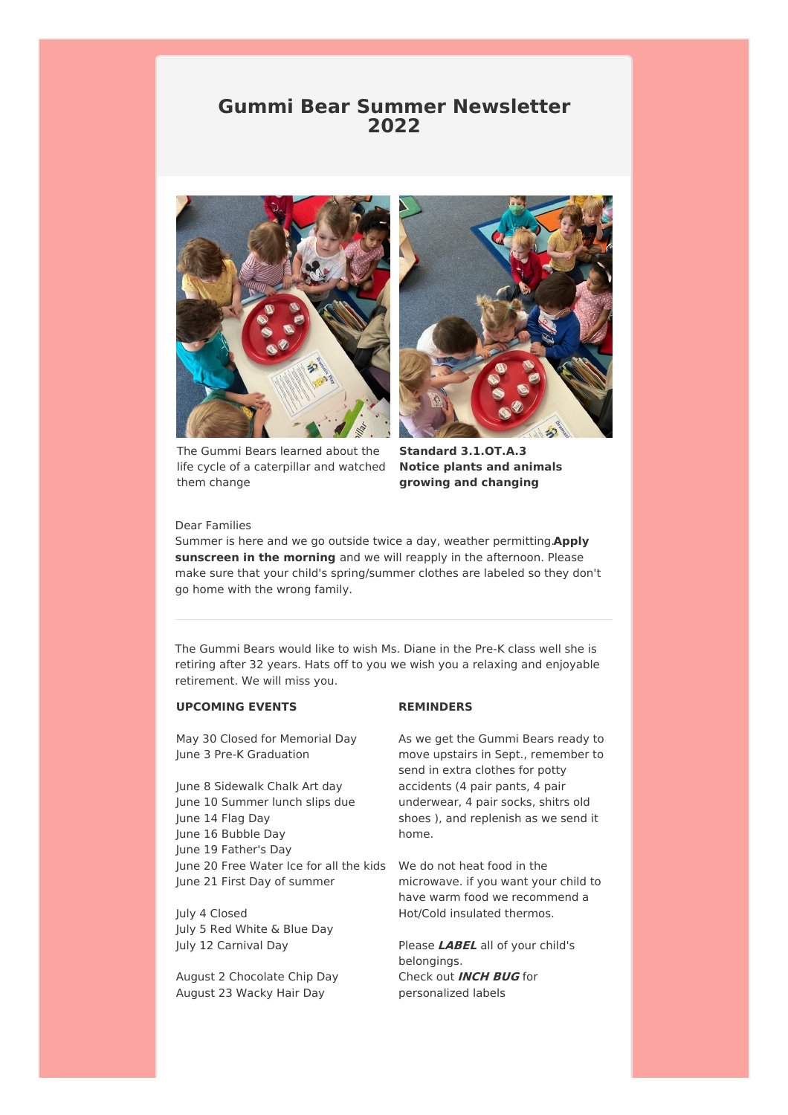## **Gummi Bear Summer Newsletter 2022**



The Gummi Bears learned about the life cycle of a caterpillar and watched them change



**Standard 3.1.OT.A.3 Notice plants and animals growing and changing**

## Dear Families

Summer is here and we go outside twice a day, weather permitting.**Apply sunscreen in the morning** and we will reapply in the afternoon. Please make sure that your child's spring/summer clothes are labeled so they don't go home with the wrong family.

The Gummi Bears would like to wish Ms. Diane in the Pre-K class well she is retiring after 32 years. Hats off to you we wish you a relaxing and enjoyable retirement. We will miss you.

## **UPCOMING EVENTS**

May 30 Closed for Memorial Day June 3 Pre-K Graduation

June 8 Sidewalk Chalk Art day June 10 Summer lunch slips due June 14 Flag Day June 16 Bubble Day June 19 Father's Day June 20 Free Water Ice for all the kids We do not heat food in the June 21 First Day of summer

July 4 Closed July 5 Red White & Blue Day July 12 Carnival Day

August 2 Chocolate Chip Day August 23 Wacky Hair Day

#### **REMINDERS**

As we get the Gummi Bears ready to move upstairs in Sept., remember to send in extra clothes for potty accidents (4 pair pants, 4 pair underwear, 4 pair socks, shitrs old shoes ), and replenish as we send it home.

microwave. if you want your child to have warm food we recommend a Hot/Cold insulated thermos.

Please **LABEL** all of your child's belongings. Check out **INCH BUG** for personalized labels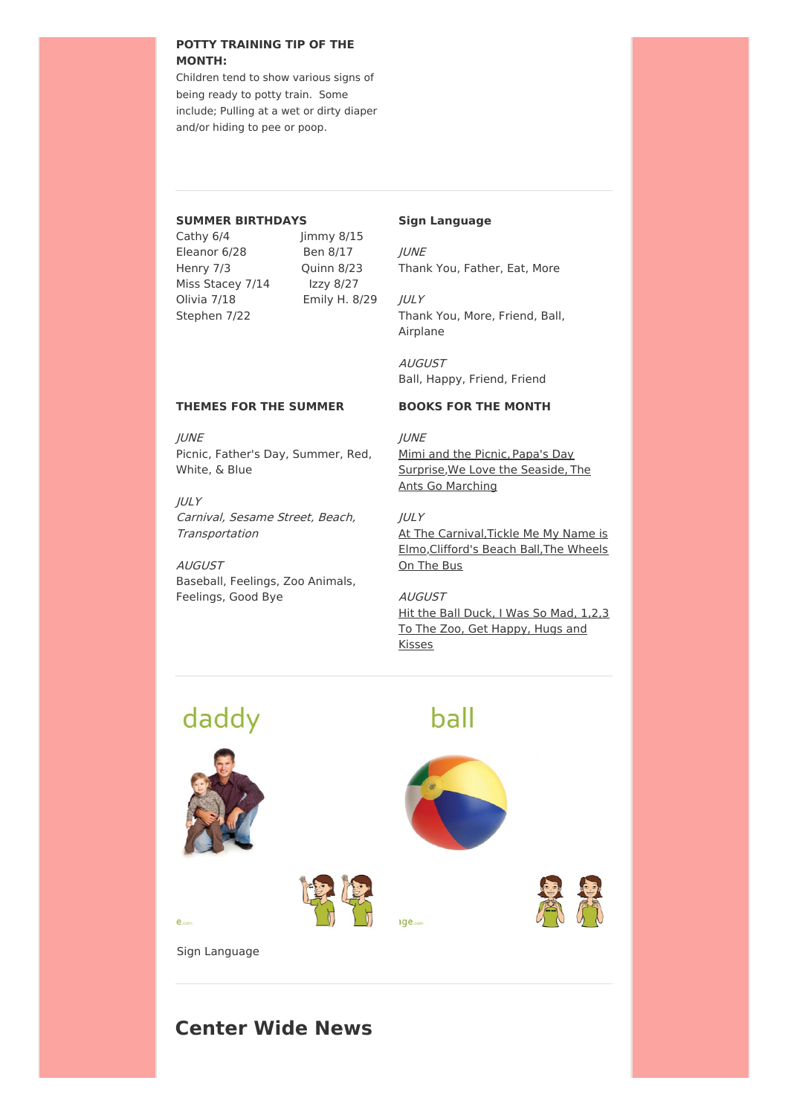## **POTTY TRAINING TIP OF THE MONTH:**

Children tend to show various signs of being ready to potty train. Some include; Pulling at a wet or dirty diaper and/or hiding to pee or poop.

### **SUMMER BIRTHDAYS**

Cathy 6/4 Jimmy 8/15 Eleanor 6/28 Ben 8/17 Stephen 7/22

Henry 7/3 Quinn 8/23 Miss Stacey 7/14 Izzy 8/27 Olivia 7/18 Emily H. 8/29

## **Sign Language**

JUNE Thank You, Father, Eat, More

JULY Thank You, More, Friend, Ball, Airplane

AUGUST Ball, Happy, Friend, Friend

## **THEMES FOR THE SUMMER**

JUNE Picnic, Father's Day, Summer, Red, White, & Blue

JULY Carnival, Sesame Street, Beach, **Transportation** 

AUGUST Baseball, Feelings, Zoo Animals, Feelings, Good Bye

## **BOOKS FOR THE MONTH**

**IUNE** Mimi and the Picnic, Papa's Day Surprise,We Love the Seaside, The Ants Go Marching

 $I\cup I$ At The Carnival, Tickle Me My Name is Elmo,Clifford's Beach Ball,The Wheels On The Bus

AUGUST Hit the Ball Duck, I Was So Mad, 1,2,3 To The Zoo, Get Happy, Hugs and **Kisses** 

# daddy





ide.com



ball



Sign Language

 $e_{cor}$ 

## **Center Wide News**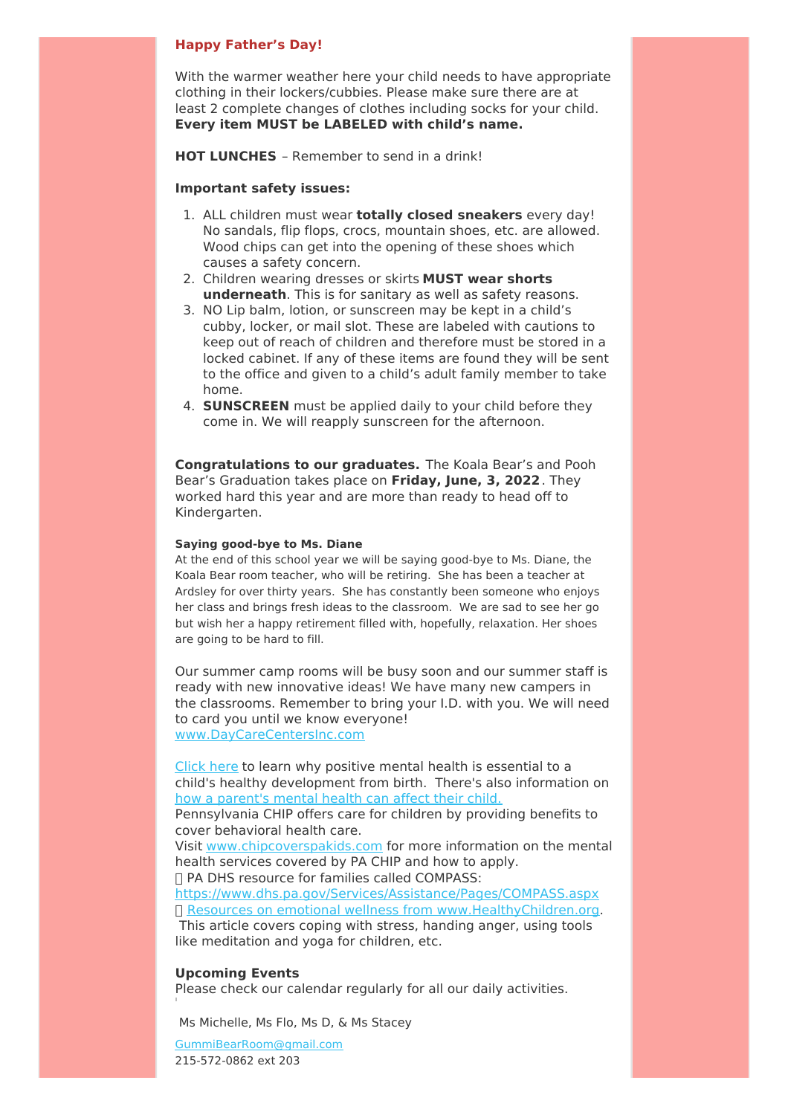### **Happy Father's Day!**

With the warmer weather here your child needs to have appropriate clothing in their lockers/cubbies. Please make sure there are at least 2 complete changes of clothes including socks for your child. **Every item MUST be LABELED with child's name.**

**HOT LUNCHES** – Remember to send in a drink!

## **Important safety issues:**

- 1. ALL children must wear **totally closed sneakers** every day! No sandals, flip flops, crocs, mountain shoes, etc. are allowed. Wood chips can get into the opening of these shoes which causes a safety concern.
- 2. Children wearing dresses or skirts **MUST wear shorts underneath**. This is for sanitary as well as safety reasons.
- 3. NO Lip balm, lotion, or sunscreen may be kept in a child's cubby, locker, or mail slot. These are labeled with cautions to keep out of reach of children and therefore must be stored in a locked cabinet. If any of these items are found they will be sent to the office and given to a child's adult family member to take home.
- 4. **SUNSCREEN** must be applied daily to your child before they come in. We will reapply sunscreen for the afternoon.

**Congratulations to our graduates.** The Koala Bear's and Pooh Bear's Graduation takes place on **Friday, June, 3, 2022**. They worked hard this year and are more than ready to head off to Kindergarten.

## **Saying good-bye to Ms. Diane**

At the end of this school year we will be saying good-bye to Ms. Diane, the Koala Bear room teacher, who will be retiring. She has been a teacher at Ardsley for over thirty years. She has constantly been someone who enjoys her class and brings fresh ideas to the classroom. We are sad to see her go but wish her a happy retirement filled with, hopefully, relaxation. Her shoes are going to be hard to fill.

Our summer camp rooms will be busy soon and our summer staff is ready with new innovative ideas! We have many new campers in the classrooms. Remember to bring your I.D. with you. We will need to card you until we know everyone! www.DayCareCentersInc.com

Click here to learn why positive mental health is essential to a child's healthy development from birth. There's also information on how a parent's mental health can affect their child.

Pennsylvania CHIP offers care for children by providing benefits to cover behavioral health care.

Visit www.chipcoverspakids.com for more information on the mental health services covered by PA CHIP and how to apply.

□ PA DHS resource for families called COMPASS:

https://www.dhs.pa.gov/Services/Assistance/Pages/COMPASS.aspx Resources on emotional wellness from www.HealthyChildren.org. This article covers coping with stress, handing anger, using tools like meditation and yoga for children, etc.

#### **Upcoming Events**

Please check our calendar regularly for all our daily activities.

Ms Michelle, Ms Flo, Ms D, & Ms Stacey

GummiBearRoom@gmail.com 215-572-0862 ext 203